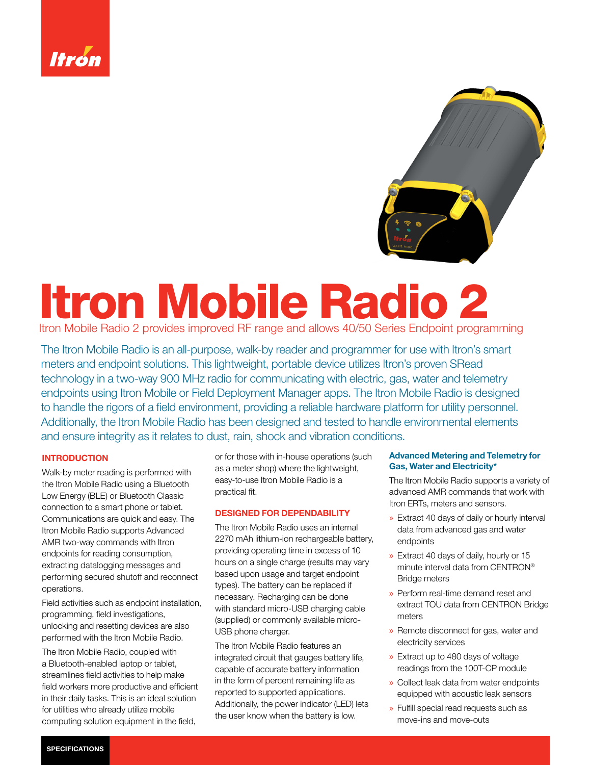



# Itron Mobile Radio 2

Itron Mobile Radio 2 provides improved RF range and allows 40/50 Series Endpoint programming

The Itron Mobile Radio is an all-purpose, walk-by reader and programmer for use with Itron's smart meters and endpoint solutions. This lightweight, portable device utilizes Itron's proven SRead technology in a two-way 900 MHz radio for communicating with electric, gas, water and telemetry endpoints using Itron Mobile or Field Deployment Manager apps. The Itron Mobile Radio is designed to handle the rigors of a field environment, providing a reliable hardware platform for utility personnel. Additionally, the Itron Mobile Radio has been designed and tested to handle environmental elements and ensure integrity as it relates to dust, rain, shock and vibration conditions.

# **INTRODUCTION**

Walk-by meter reading is performed with the Itron Mobile Radio using a Bluetooth Low Energy (BLE) or Bluetooth Classic connection to a smart phone or tablet. Communications are quick and easy. The Itron Mobile Radio supports Advanced AMR two-way commands with Itron endpoints for reading consumption, extracting datalogging messages and performing secured shutoff and reconnect operations.

Field activities such as endpoint installation, programming, field investigations, unlocking and resetting devices are also performed with the Itron Mobile Radio.

The Itron Mobile Radio, coupled with a Bluetooth-enabled laptop or tablet, streamlines field activities to help make field workers more productive and efficient in their daily tasks. This is an ideal solution for utilities who already utilize mobile computing solution equipment in the field,

or for those with in-house operations (such as a meter shop) where the lightweight, easy-to-use Itron Mobile Radio is a practical fit.

# DESIGNED FOR DEPENDABILITY

The Itron Mobile Radio uses an internal 2270 mAh lithium-ion rechargeable battery, providing operating time in excess of 10 hours on a single charge (results may vary based upon usage and target endpoint types). The battery can be replaced if necessary. Recharging can be done with standard micro-USB charging cable (supplied) or commonly available micro-USB phone charger.

The Itron Mobile Radio features an integrated circuit that gauges battery life, capable of accurate battery information in the form of percent remaining life as reported to supported applications. Additionally, the power indicator (LED) lets the user know when the battery is low.

# Advanced Metering and Telemetry for Gas, Water and Electricity\*

The Itron Mobile Radio supports a variety of advanced AMR commands that work with Itron ERTs, meters and sensors.

- » Extract 40 days of daily or hourly interval data from advanced gas and water endpoints
- » Extract 40 days of daily, hourly or 15 minute interval data from CENTRON® Bridge meters
- » Perform real-time demand reset and extract TOU data from CENTRON Bridge meters
- » Remote disconnect for gas, water and electricity services
- » Extract up to 480 days of voltage readings from the 100T-CP module
- » Collect leak data from water endpoints equipped with acoustic leak sensors
- » Fulfill special read requests such as move-ins and move-outs